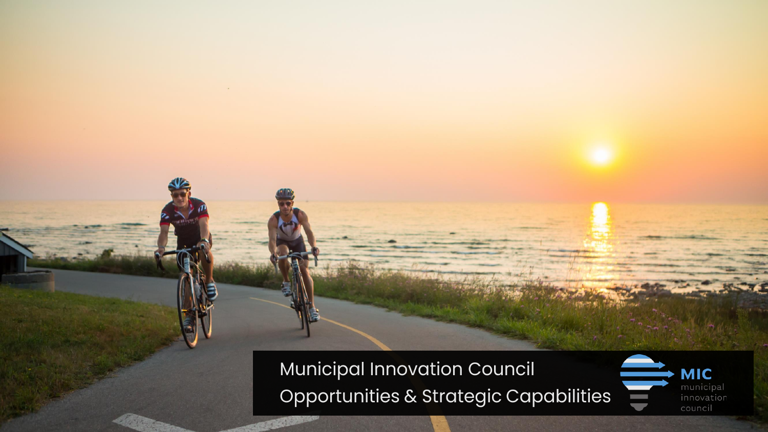Municipal Innovation Council Opportunities & Strategic Capabilities

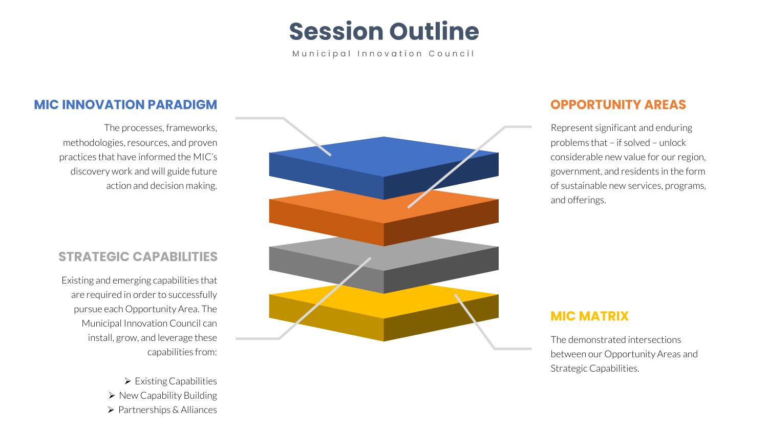## **Session Outline**

Municipal Innovation Council

### **MIC INNOVATION PARADIGM**

The processes, frameworks, methodologies, resources, and proven practices that have informed the MIC's discovery work and will guide future action and decision making.

### **STRATEGIC CAPABILITIES**

Existing and emerging capabilities that are required in order to successfully pursue each Opportunity Area. The Municipal Innovation Council can install, grow, and leverage these capabilities from:

> ➢ Existing Capabilities ➢ New Capability Building ➢ Partnerships & Alliances



### **OPPORTUNITY AREAS**

Represent significant and enduring problems that – if solved – unlock considerable new value for our region, government, and residents in the form of sustainable new services, programs, and offerings.

### **MIC MATRIX**

The demonstrated intersections between our Opportunity Areas and Strategic Capabilities.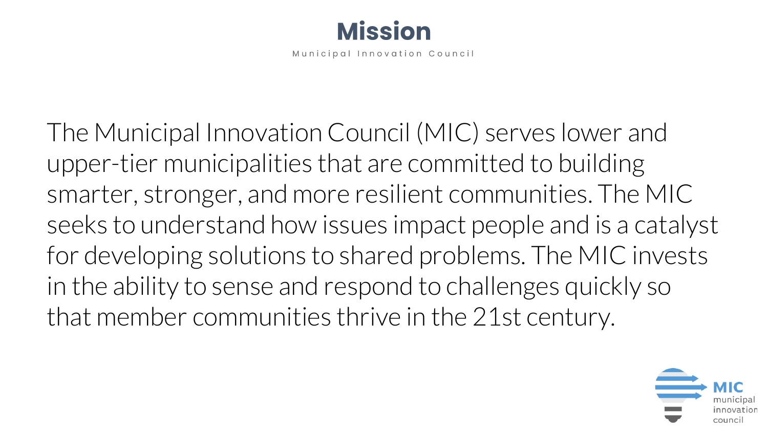

The Municipal Innovation Council (MIC) serves lower and upper-tier municipalities that are committed to building smarter, stronger, and more resilient communities. The MIC seeks to understand how issues impact people and is a catalyst for developing solutions to shared problems. The MIC invests in the ability to sense and respond to challenges quickly so that member communities thrive in the 21st century.

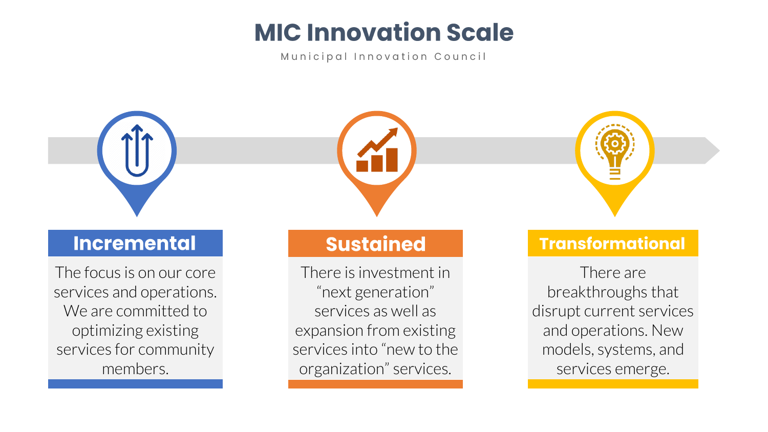## **MIC Innovation Scale**

Municipal Innovation Council



## **Incremental**

The focus is on our core services and operations. We are committed to optimizing existing services for community members.

## **Sustained**

There is investment in "next generation" services as well as expansion from existing services into "new to the organization" services.



### **Transformational**

There are breakthroughs that disrupt current services and operations. New models, systems, and services emerge.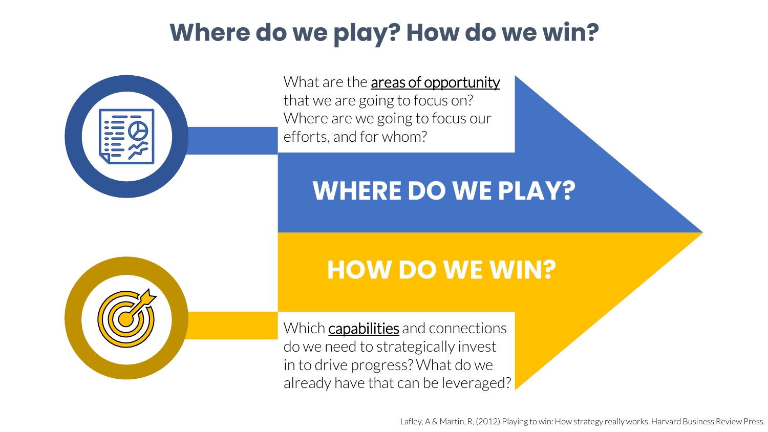## **Where do we play? How do we win?**



## **WHERE DO WE PLAY?**



## **HOW DO WE WIN?**

Which **capabilities** and connections do we need to strategically invest in to drive progress? What do we already have that can be leveraged?

Lafley, A & Martin, R, (2012) Playing to win: How strategy really works. Harvard Business Review Press.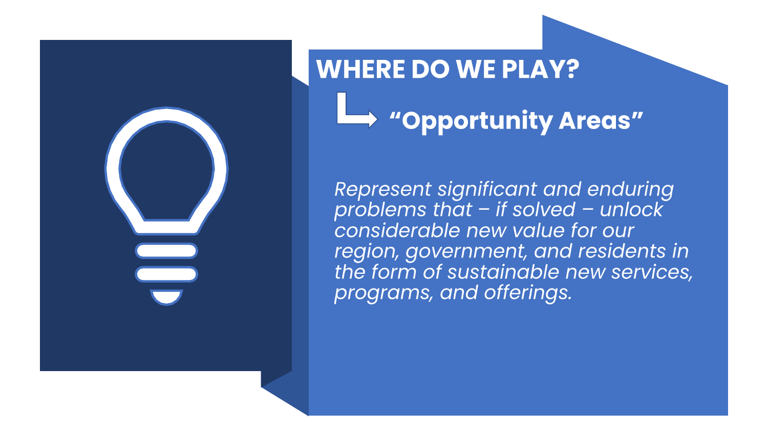

# **WHERE DO WE PLAY?** "Opportunity Areas"

Represent significant and enduring problems that  $-$  if solved  $-$  unlock considerable new value for our region, government, and residents in the form of sustainable new services, programs, and offerings.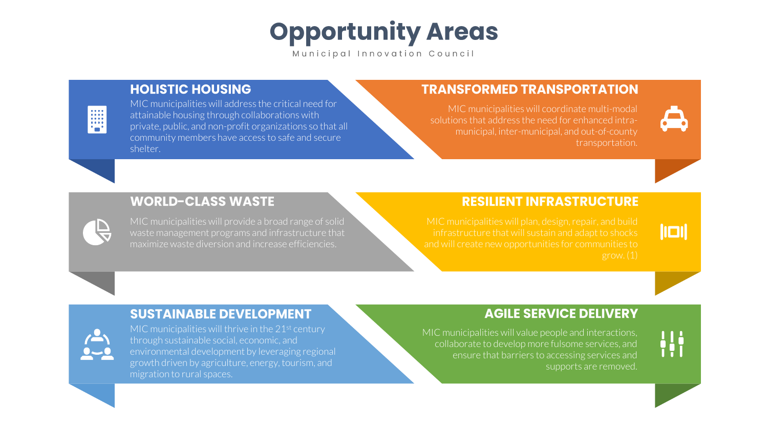**Opportunity Areas** 

### **HOLISTIC HOUSING**

E

MIC municipalities will address the critical need for attainable housing through collaborations with private, public, and non-profit organizations so that all community members have access to safe and secure shelter.

### **TRANSFORMED TRANSPORTATION**

MIC municipalities will coordinate multi-modal solutions that address the need for enhanced intramunicipal, inter-municipal, and out-of-county transportation.

### **WORLD-CLASS WASTE**

MIC municipalities will provide a broad range of solid maximize waste diversion and increase efficiencies.

### **RESILIENT INFRASTRUCTURE**

 $\| \Box \|$ 

₩

infrastructure that will sustain and adapt to shocks

### **SUSTAINABLE DEVELOPMENT**



MIC municipalities will thrive in the  $21<sup>st</sup>$  century through sustainable social, economic, and environmental development by leveraging regional growth driven by agriculture, energy, tourism, and migration to rural spaces.

### **AGILE SERVICE DELIVERY**

MIC municipalities will value people and interactions, collaborate to develop more fulsome services, and ensure that barriers to accessing services and supports are removed.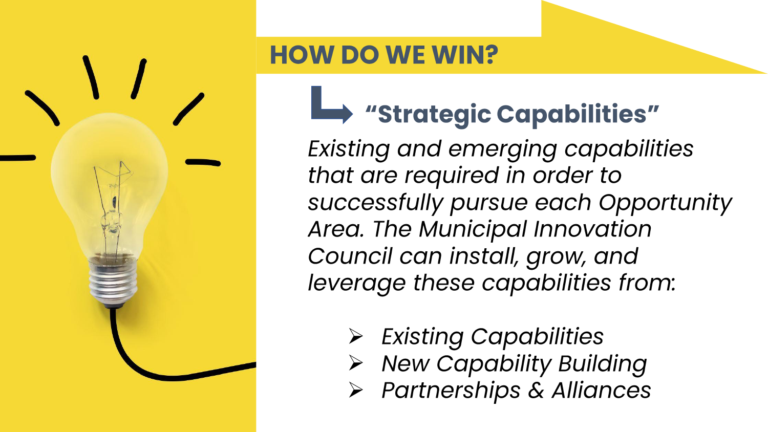

## **HOW DO WE WIN?**

# Strategic Capabilities"

Existing and emerging capabilities that are required in order to successfully pursue each Opportunity Area. The Municipal Innovation Council can install, grow, and leverage these capabilities from:

- $\triangleright$  Existing Capabilities
- > New Capability Building
- > Partnerships & Alliances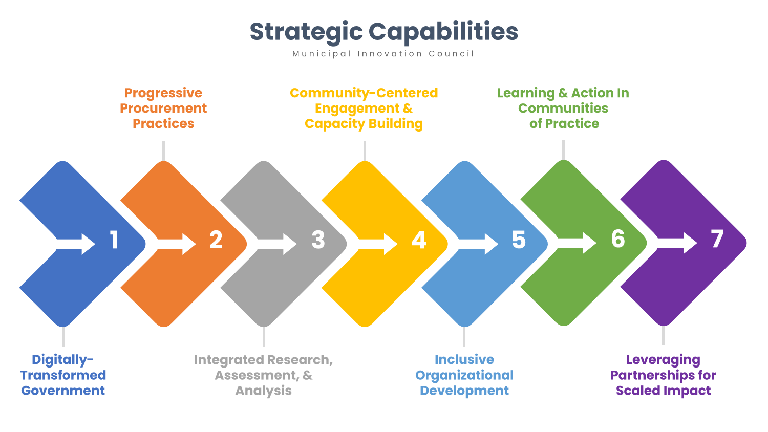**Strategic Capabilities** 

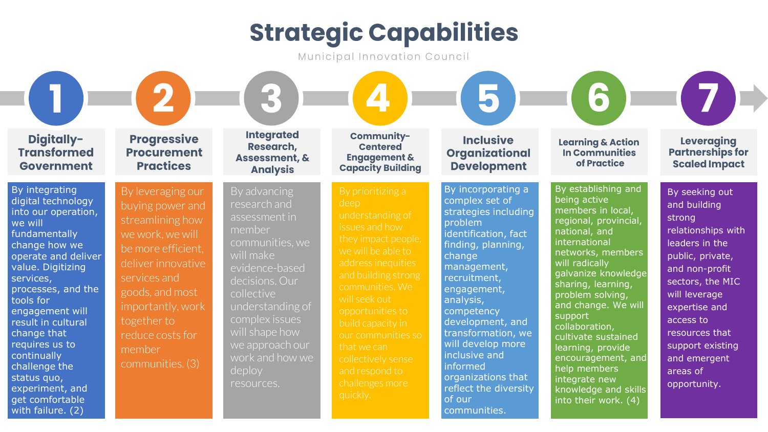# **Strategic Capabilities**

Municipal Innovation Council

| Digitally-<br><b>Transformed</b><br><b>Government</b>                                                                                                                                                                                                                                                                                                                                    | <b>Progressive</b><br><b>Procurement</b><br><b>Practices</b>                                                                                                                                                                                       | <b>Integrated</b><br>Research,<br><b>Assessment, &amp;</b><br><b>Analysis</b>                                                                                                                                                                                   | Community-<br><b>Centered</b><br><b>Engagement &amp;</b><br><b>Capacity Building</b>                                                                                                                                                                                                                                                               | <b>Inclusive</b><br><b>Organizational</b><br><b>Development</b>                                                                                                                                                                                                                                                                                                               | <b>P</b><br><b>Learning &amp; Action</b><br><b>In Communities</b><br>of Practice                                                                                                                                                                                                                                                                                                                                                   | <b>Leveraging</b><br><b>Partnerships for</b><br><b>Scaled Impact</b>                                                                                                                                                                                                        |
|------------------------------------------------------------------------------------------------------------------------------------------------------------------------------------------------------------------------------------------------------------------------------------------------------------------------------------------------------------------------------------------|----------------------------------------------------------------------------------------------------------------------------------------------------------------------------------------------------------------------------------------------------|-----------------------------------------------------------------------------------------------------------------------------------------------------------------------------------------------------------------------------------------------------------------|----------------------------------------------------------------------------------------------------------------------------------------------------------------------------------------------------------------------------------------------------------------------------------------------------------------------------------------------------|-------------------------------------------------------------------------------------------------------------------------------------------------------------------------------------------------------------------------------------------------------------------------------------------------------------------------------------------------------------------------------|------------------------------------------------------------------------------------------------------------------------------------------------------------------------------------------------------------------------------------------------------------------------------------------------------------------------------------------------------------------------------------------------------------------------------------|-----------------------------------------------------------------------------------------------------------------------------------------------------------------------------------------------------------------------------------------------------------------------------|
| By integrating<br>digital technology<br>into our operation,<br>we will<br>fundamentally<br>change how we<br>operate and deliver<br>value. Digitizing<br>services,<br>processes, and the<br>tools for<br>engagement will<br>result in cultural<br>change that<br>requires us to<br>continually<br>challenge the<br>status quo,<br>experiment, and<br>get comfortable<br>with failure. (2) | By leveraging our<br>buying power and<br>streamlining how<br>we work, we will<br>be more efficient.<br>deliver innovative<br>services and<br>goods, and most<br>importantly, work<br>together to<br>reduce costs for<br>member<br>communities. (3) | By advancing<br>research and<br>assessment in<br>member<br>communities, we<br>will make<br>evidence-based<br>decisions. Our<br>collective<br>understanding of<br>complex issues<br>will shape how<br>we approach our<br>work and how we<br>deploy<br>resources. | By prioritizing a<br>deep<br>understanding of<br>issues and how<br>they impact people,<br>we will be able to<br>address inequities<br>and building strong<br>communities. We<br>will seek out<br>opportunities to<br>build capacity in<br>our communities so<br>that we can<br>collectively sense<br>and respond to<br>challenges more<br>quickly. | By incorporating a<br>complex set of<br>strategies including<br>problem<br>identification, fact<br>finding, planning,<br>change<br>management,<br>recruitment,<br>engagement,<br>analysis,<br>competency<br>development, and<br>transformation, we<br>will develop more<br>inclusive and<br>informed<br>organizations that<br>reflect the diversity<br>of our<br>communities. | By establishing and<br>being active<br>members in local,<br>regional, provincial,<br>national, and<br>international<br>networks, members<br>will radically<br>galvanize knowledge<br>sharing, learning,<br>problem solving,<br>and change. We will<br>support<br>collaboration,<br>cultivate sustained<br>learning, provide<br>encouragement, and<br>help members<br>integrate new<br>knowledge and skills<br>into their work. (4) | By seeking out<br>and building<br>strong<br>relationships with<br>leaders in the<br>public, private,<br>and non-profit<br>sectors, the MIC<br>will leverage<br>expertise and<br>access to<br>resources that<br>support existing<br>and emergent<br>areas of<br>opportunity. |